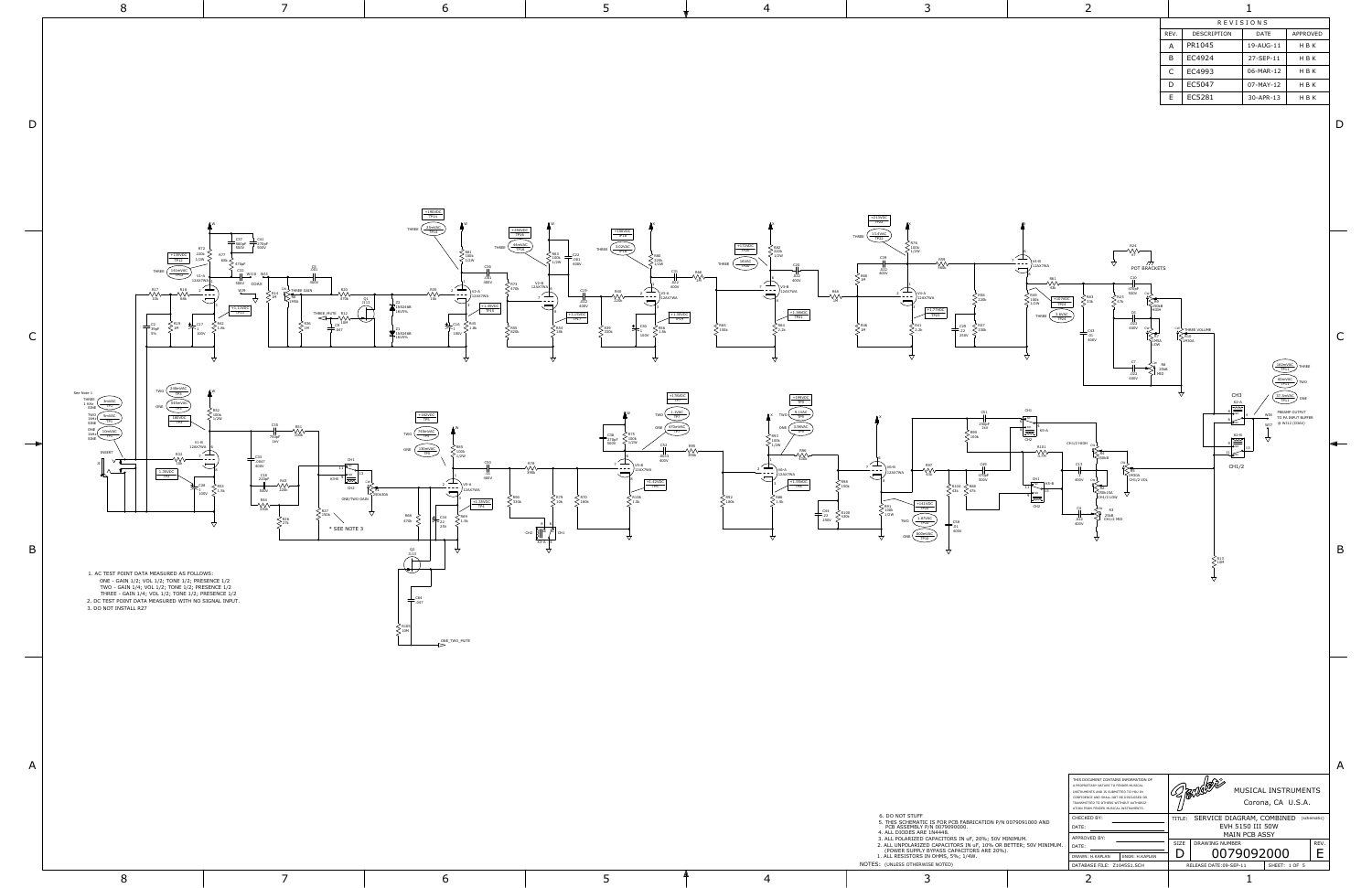|      | <b>REVISIONS</b>   |           |                 |  |  |  |
|------|--------------------|-----------|-----------------|--|--|--|
| REV. | <b>DESCRIPTION</b> | DATE      | <b>APPROVED</b> |  |  |  |
| А    | PR1045             | 19-AUG-11 | H B K           |  |  |  |
| B    | EC4924             | 27-SEP-11 | H B K           |  |  |  |
| C    | EC4993             | 06-MAR-12 | H B K           |  |  |  |
| D    | EC5047             | 07-MAY-12 | H B K           |  |  |  |
| E    | EC5281             | 30-APR-13 | H B K           |  |  |  |
|      |                    |           |                 |  |  |  |

|              | 8                                                                                                                                                                                                                                                                                                                                                                                                                                                                                                                                                                                                                               |                                                                                                                                                                                                                                                                     | 6                                                                                                                                                                                                                                                                                          | ר.                                                                                                                                                                                                                                   | $\overline{4}$                                                                                                                                                                                                                                                                                                                                                                                                                                                                      | 3                                                                                                                                                                                                                                                                                                                                                                                             | -2                                                                                                                                                                                                                                                                                                                                                                                                                                              |                                                                                                                                                                                                                                                          |
|--------------|---------------------------------------------------------------------------------------------------------------------------------------------------------------------------------------------------------------------------------------------------------------------------------------------------------------------------------------------------------------------------------------------------------------------------------------------------------------------------------------------------------------------------------------------------------------------------------------------------------------------------------|---------------------------------------------------------------------------------------------------------------------------------------------------------------------------------------------------------------------------------------------------------------------|--------------------------------------------------------------------------------------------------------------------------------------------------------------------------------------------------------------------------------------------------------------------------------------------|--------------------------------------------------------------------------------------------------------------------------------------------------------------------------------------------------------------------------------------|-------------------------------------------------------------------------------------------------------------------------------------------------------------------------------------------------------------------------------------------------------------------------------------------------------------------------------------------------------------------------------------------------------------------------------------------------------------------------------------|-----------------------------------------------------------------------------------------------------------------------------------------------------------------------------------------------------------------------------------------------------------------------------------------------------------------------------------------------------------------------------------------------|-------------------------------------------------------------------------------------------------------------------------------------------------------------------------------------------------------------------------------------------------------------------------------------------------------------------------------------------------------------------------------------------------------------------------------------------------|----------------------------------------------------------------------------------------------------------------------------------------------------------------------------------------------------------------------------------------------------------|
| $\mathsf D$  |                                                                                                                                                                                                                                                                                                                                                                                                                                                                                                                                                                                                                                 |                                                                                                                                                                                                                                                                     | $\frac{+190\text{VDC}}{\text{TP}14}$                                                                                                                                                                                                                                                       |                                                                                                                                                                                                                                      |                                                                                                                                                                                                                                                                                                                                                                                                                                                                                     | $\frac{+213\textrm{VDC}}{\textrm{TP22}}$                                                                                                                                                                                                                                                                                                                                                      |                                                                                                                                                                                                                                                                                                                                                                                                                                                 | REVISIONS<br>REV.<br>DESCRIPTION<br>DATE<br>APPROVED<br>A   PR1045<br>19-AUG-11<br>HBK<br>B EC4924<br>27-SEP-11<br>H B K<br>$C$ EC4993<br>06-MAR-12<br>H B K<br>D EC5047<br>07-MAY-12<br>HBK<br>EC5281<br>30-APR-13<br>H B K<br>D                        |
| $\mathsf{C}$ | $\frac{+135\text{VDC}}{\text{TP12}}$                                                                                                                                                                                                                                                                                                                                                                                                                                                                                                                                                                                            | COA)<br>WJ9<br><b>HREE GAIN</b><br>$\frac{1.11VDC}{TP13}$<br>THREE_MUTE                                                                                                                                                                                             | $\mathsf{THREE}\ \overbrace{\frac{23\mathsf{mVAC}}{\mathsf{TP14}}}$<br>400V<br>1.45VDC                                                                                                                                                                                                     | $\begin{array}{r}\n\hline\n+156VDC \\ \hline\n\overline{TP18}\n\end{array}$<br>HREE $\begin{array}{r}\n3.02VAC \\ \overline{TP18}\n\end{array}$<br>$\frac{12AX7WA_6}{7}$<br>$.022$<br>400V<br>$\frac{+3.15 \text{VDC}}{\text{TP17}}$ | $\begin{array}{ l }\n\hline\n+172VDC \\ \hline\n\overline{TP}20\n\end{array}\n\qquad\n\begin{array}{ l }\n\hline\n\end{array}\n\hline\n\hline\n16VAC \\ \hline\n\overline{TP}20\n\end{array}\n\qquad\n\begin{array}{ l }\n\hline\n\end{array}\n\hline\n\end{array}\n\qquad\n\begin{array}{ l }\n\hline\n\end{array}\n\hline\n\hline\n\end{array}\n\qquad\n\begin{array}{ l }\n\hline\n\end{array}\n\hline\n\hline\n\end{array}\n\qquad\n\begin{array}{ l }\n$<br>$+1.38VDC$<br>TP21 | $\begin{picture}(10,10) \put(0,0){\line(1,0){10}} \put(10,0){\line(1,0){10}} \put(10,0){\line(1,0){10}} \put(10,0){\line(1,0){10}} \put(10,0){\line(1,0){10}} \put(10,0){\line(1,0){10}} \put(10,0){\line(1,0){10}} \put(10,0){\line(1,0){10}} \put(10,0){\line(1,0){10}} \put(10,0){\line(1,0){10}} \put(10,0){\line(1,0){10}} \put(10,0){\line(1$<br>.óż2                                   | $-\sqrt{\frac{kT}{47}}$<br>- 177<br>POT BRACKETS<br>$+107VDC$<br>TP24<br>$\frac{3.6VAC}{TP24}$<br>THREE<br>$.022$<br>400V<br>$\begin{array}{c}\n\begin{array}{c}\n\text{cw}\n\text{M} \\ \text{M} \\ \text{M} \\ \text{L} \\ \text{C} \\ \text{C} \\ \end{array}\n\end{array}$<br>$-0.01$ 400V                                                                                                                                                  | W THREE VOLUME<br>$\mathsf C$<br>CH <sub>3</sub><br>$\frac{37.3 \text{mVAC}}{1 \text{F} 11}$ or                                                                                                                                                          |
| ╼<br>B       | $\begin{picture}(130,10) \put(0,0){\line(1,0){100}} \put(15,0){\line(1,0){100}} \put(15,0){\line(1,0){100}} \put(15,0){\line(1,0){100}} \put(15,0){\line(1,0){100}} \put(15,0){\line(1,0){100}} \put(15,0){\line(1,0){100}} \put(15,0){\line(1,0){100}} \put(15,0){\line(1,0){100}} \put(15,0){\line(1,0){100}} \put(15,0){\line(1,0){100}}$<br>See Note 1<br>THREE<br>THE SINE THE SINCE<br>THE SINE THE SINCE THE SINE THE SINE THE THE SINE THE SINCE THE SINCE THE THE THE SINCE THE THE SINE THE SINE OF THE SINE OF THE SINE OF THE SINE OF THE SINE OF THE SINE OF THE SINE<br>V1-B<br>12AX7WA<br>INSERT<br>$\mathbb{R}$ | $\begin{array}{l}\n\lessgtr 100k \\ \lessgtr 1/2W\n\end{array}$<br>= C33<br>- .0047<br>-400V<br>$\frac{C18}{220pF}$<br>$K3-B$ $9\overline{2\pi}$<br>CH2<br>500V<br>ONE/TWO GAIN<br>$\leq^{\scriptscriptstyle \sf R26}_{\scriptscriptstyle \sf 27k}$<br>* SEE NOTE 3 | $\begin{array}{l}\n\text{Two} & \xrightarrow{\text{T40mVAC}} \\ \hline\n\text{TP5} & \xrightarrow{\text{TP5}} \\ \text{ONE} & \xrightarrow{\text{TP5}} \\ \end{array}$<br>Ó<br>250k30A<br>≤ <sup>R90</sup><br>< 330k<br>$+1.35VDC$<br>——1<br>个22<br>$470k$ $\leq$<br>25V<br>$\overline{P}$ | 270pF<br>500V<br>$+1.42VDC$<br>CH2 $3\frac{1}{2}$                                                                                                                                                                                    | $\frac{\frac{3.98\text{VAC}}{100}}{\frac{1}{100}}$<br>$\left.\rule{0pt}{2.5pt}\right.^{\text{R98}}_{\text{150k}}$<br>$\begin{array}{ccc} \mathsf{L}_{\text{C44}} & \searrow_{\text{R100}} \\ \hline \uparrow & \downarrow & \downarrow \\ \text{250V} & \searrow & \downarrow \end{array}$                                                                                                                                                                                          | 250pF<br>1kV<br>≃<br>▽<br>$\left\{\n\begin{array}{l}\n100k \\ 1/2W\n\end{array}\n\right\}$<br>$\frac{1.87 \text{VAC}}{TP10}$<br>$\frac{\text{800mVAC}}{\text{TP10}}$                                                                                                                                                                                                                          | $\begin{array}{c}\n\hline\n8 \rightarrow 4 \\ \hline\n\end{array}$ EP12<br>CH1/2 HIGH<br>R101<br>$\left\{\begin{matrix} & & \\ & \overbrace{\begin{matrix} \text{RS} \\ \text{LMM30A} \end{matrix}} & \\ & \text{CH1/2 VOL} \end{matrix}\right.$<br>CH1<br>$\left\{\begin{matrix} 1 \\ 1 \\ 2 \\ 3 \\ 2 \\ 50 \\ k1 \\ 2 \\ 10 \\ k \end{matrix}\right\}$<br>$\frac{1}{2}$<br>$\frac{1}{1022}$ $\left.\frac{25}{101/2} \right $<br>.022<br>400V | $\frac{K2-A}{B}$<br>W38 PREAMP OUTPUT<br>TO PA INPUT BUFFER<br>W37 @ W312 (COAX)<br>$rac{K2-B}{2}$<br>CH1/2<br>B                                                                                                                                         |
|              | 1. AC TEST POINT DATA MEASURED AS FOLLOWS:<br>ONE - GAIN 1/2; VOL 1/2; TONE 1/2; PRESENCE 1/2<br>TWO - GAIN 1/4; VOL 1/2; TONE 1/2; PRESENCE 1/2<br>THREE - GAIN 1/4; VOL 1/2; TONE 1/2; PRESENCE 1/2<br>2. DC TEST POINT DATA MEASURED WITH NO SIGNAL INPUT.<br>3. DO NOT INSTALL R27                                                                                                                                                                                                                                                                                                                                          |                                                                                                                                                                                                                                                                     | ₩<br>$\rightarrow$ $\beta$ <sup>ONE_TWO_MUTE</sup>                                                                                                                                                                                                                                         |                                                                                                                                                                                                                                      |                                                                                                                                                                                                                                                                                                                                                                                                                                                                                     |                                                                                                                                                                                                                                                                                                                                                                                               |                                                                                                                                                                                                                                                                                                                                                                                                                                                 |                                                                                                                                                                                                                                                          |
| A            | 8                                                                                                                                                                                                                                                                                                                                                                                                                                                                                                                                                                                                                               | $\overline{7}$                                                                                                                                                                                                                                                      | 6                                                                                                                                                                                                                                                                                          | 5                                                                                                                                                                                                                                    | $\overline{4}$                                                                                                                                                                                                                                                                                                                                                                                                                                                                      | 6. DO NOT STUFF<br>5. THIS SCHEMATIC IS FOR PCB FABRICATION P/N 0079091000 AND PCB ASSEMBLY P/N 0079090000.<br>4. ALL DIODES ARE 1N4448.<br>3. ALL POLARIZED CAPACITORS IN uF, 20%; 50V MINIMUM.<br>2. ALL UNPOLARIZED CAPACITORS IN uF, 10% OR BETTER; 50V MINIMUM. (POWER SUPPLY BYPASS CAPACITORS ARE 20%).<br>1. ALL RESISTORS IN OHMS, 5%; 1/4W.<br>NOTES: (UNLESS OTHERWISE NOTED)<br>3 | THIS DOCUMENT CONTAINS INFORMATION OF<br>A PROPRIETARY NATURE TO FENDER MUSICAL<br>INSTRUMENTS AND IS SUBMITTED TO YOU IN<br>CONFIDENCE AND SHALL NOT BE DISCLOSED OR<br>TRANSMITTED TO OTHERS WITHOUT AUTHORIZ-<br>ATION FROM FENDER MUSICAL INSTRUMENTS.<br>CHECKED BY:<br>DATE:<br>APPROVED BY:<br>DATE:<br>DRAWN: H.KAPLAN ENGR: H.KAPLAN<br>DATABASE FILE: Z1045S1.SCH<br>-2                                                               | $\mathsf{A}$<br>ARSIN<br>MUSICAL INSTRUMENTS<br>Corona, CA U.S.A.<br>TITLE: SERVICE DIAGRAM, COMBINED (schematic)<br>EVH 5150 III 50W<br>MAIN PCB ASSY<br>SIZE DRAWING NUMBER<br>REV.<br>E<br>0079092000<br>D<br>RELEASE DATE:09-SEP-11<br>SHEET: 1 OF 5 |

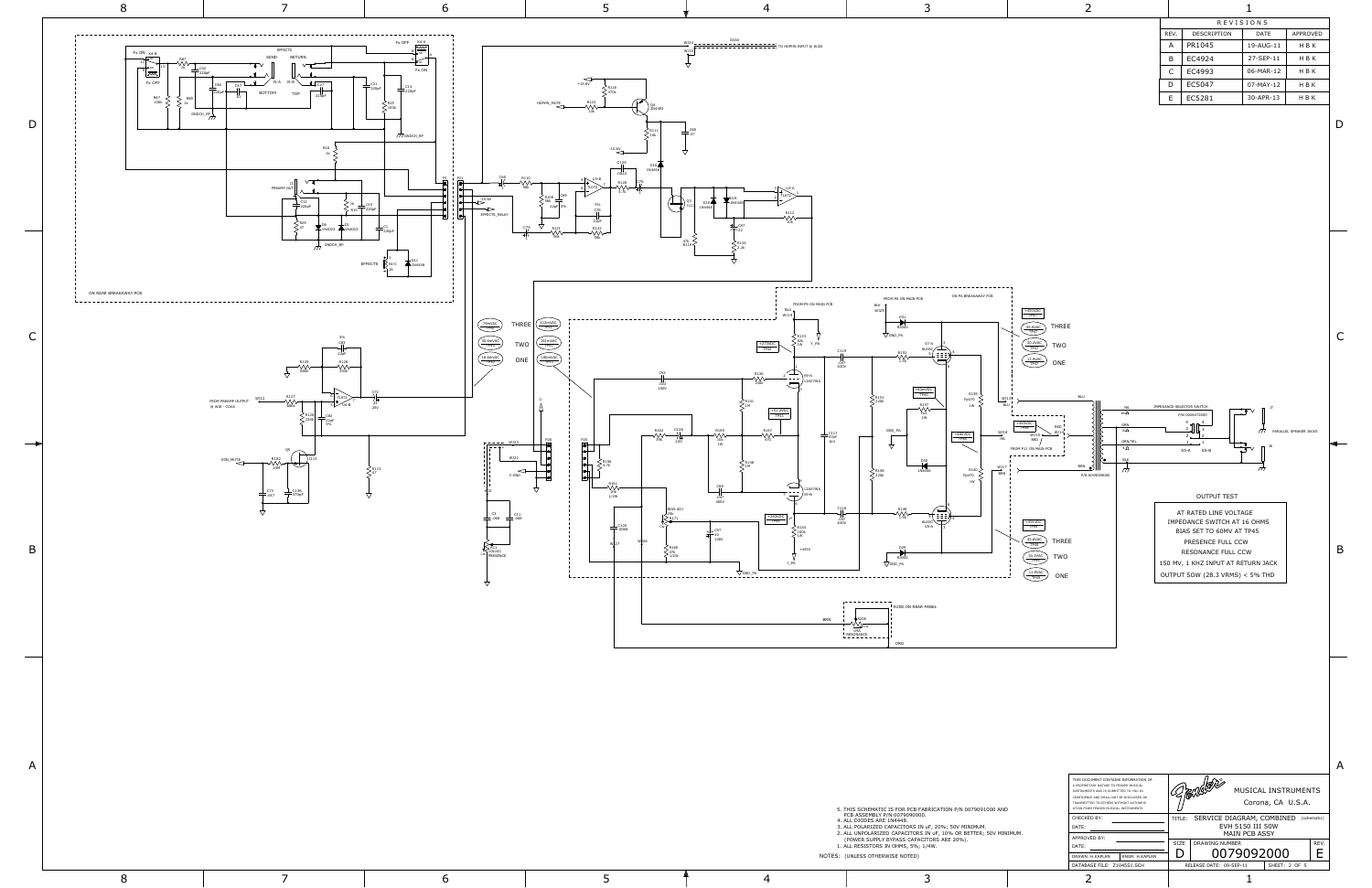

8 7 6 5 † 4 3 2 1

| <b>REVISIONS</b> |                    |           |          |  |  |  |
|------------------|--------------------|-----------|----------|--|--|--|
| REV.             | <b>DESCRIPTION</b> | DATF      | APPROVED |  |  |  |
| А                | PR1045             | 19-AUG-11 | H B K    |  |  |  |
| B                | EC4924             | 27-SFP-11 | H B K    |  |  |  |
| C                | EC4993             | 06-MAR-12 | H B K    |  |  |  |
| D                | EC5047             | 07-MAY-12 | H B K    |  |  |  |
| E                | EC5281             | 30-APR-13 | H B K    |  |  |  |
|                  |                    |           |          |  |  |  |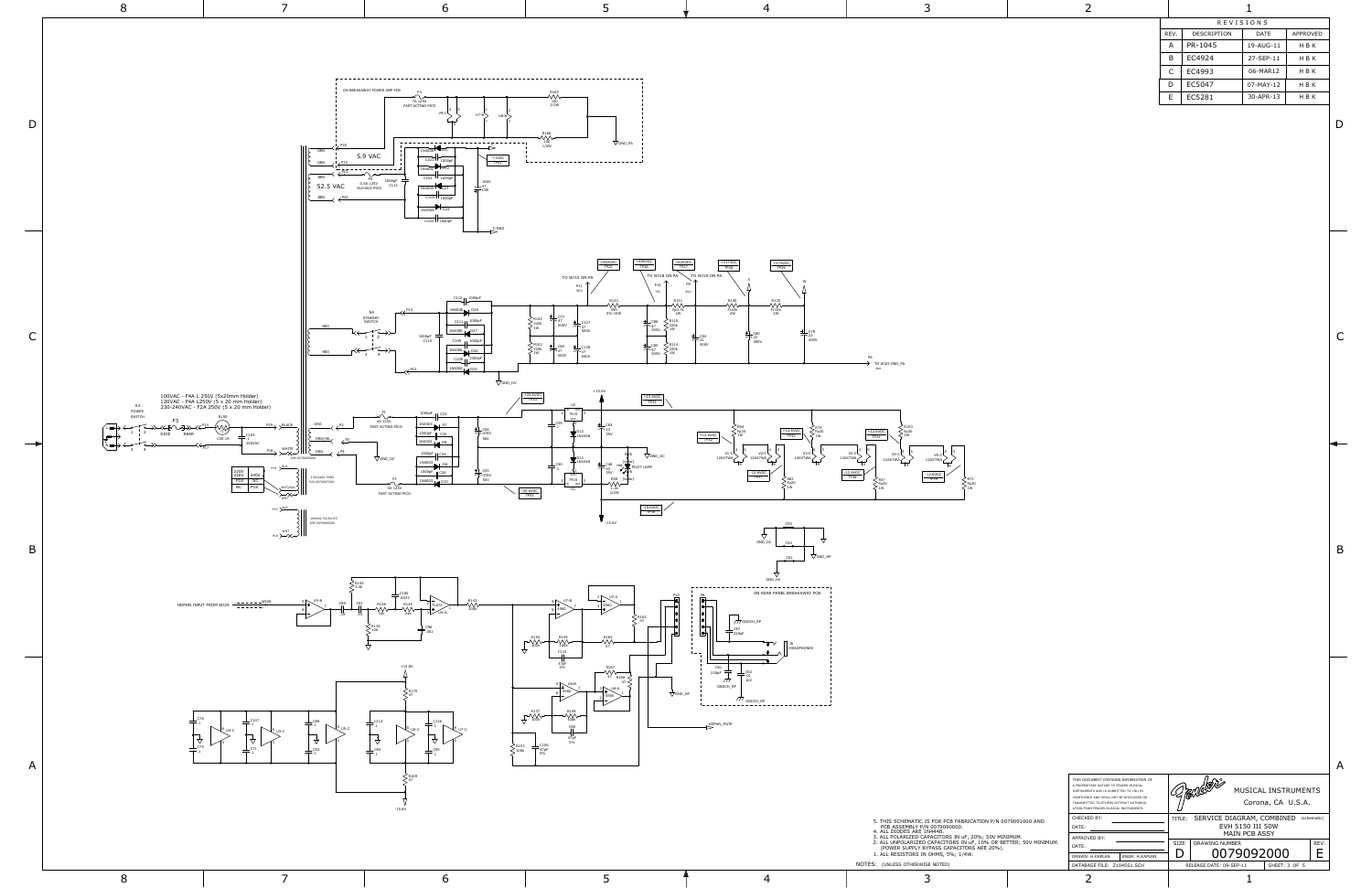

8 7 6 5 † 4 3 2 1

| ÷ |  |  |
|---|--|--|
|   |  |  |
|   |  |  |
|   |  |  |
|   |  |  |

|                                                                                      |                                                                                                                                                                                                                  |  |      |                                                      |                                          |             | А |
|--------------------------------------------------------------------------------------|------------------------------------------------------------------------------------------------------------------------------------------------------------------------------------------------------------------|--|------|------------------------------------------------------|------------------------------------------|-------------|---|
|                                                                                      | THIS DOCUMENT CONTAINS INFORMATION OF<br>A PROPRIETARY NATURE TO FENDER MUSICAL<br>INSTRUMENTS AND IS SUBMITTED TO YOU IN<br>CONFIDENCE AND SHALL NOT BE DISCLOSED OR<br>TRANSMITTED TO OTHERS WITHOUT AUTHORIZ- |  |      |                                                      | MUSICAL INSTRUMENTS<br>Corona, CA U.S.A. |             |   |
| 91000 AND                                                                            | ATION FROM FENDER MUSICAL INSTRUMENTS.<br>CHECKED BY:<br>DATE:                                                                                                                                                   |  |      | TITLE: SERVICE DIAGRAM, COMBINED<br>EVH 5150 III 50W |                                          | (schematic) |   |
| JM.<br>APPROVED BY:<br>R: 50V MINIMUM.<br>DATE:<br>DRAWN: H.KAPLAN<br>ENGR: H.KAPLAN |                                                                                                                                                                                                                  |  | SIZE | MAIN PCB ASSY<br><b>DRAWING NUMBER</b><br>0079092000 |                                          | REV.        |   |
|                                                                                      | DATABASE FILE: Z1045S1.SCH                                                                                                                                                                                       |  |      | RELEASE DATE: 09-SEP-11                              | SHEET: 3 OF 5                            |             |   |

| <b>REVISIONS</b> |                    |           |                 |  |  |
|------------------|--------------------|-----------|-----------------|--|--|
| REV.             | <b>DESCRIPTION</b> | DATF      | <b>APPROVED</b> |  |  |
| А                | PR-1045            | 19-AUG-11 | H B K           |  |  |
| В                | EC4924             | 27-SFP-11 | H B K           |  |  |
| C                | EC4993             | 06-MAR12  | H B K           |  |  |
| D                | EC5047             | 07-MAY-12 | H B K           |  |  |
| F                | EC5281             | 30-APR-13 | H B K           |  |  |

C

B